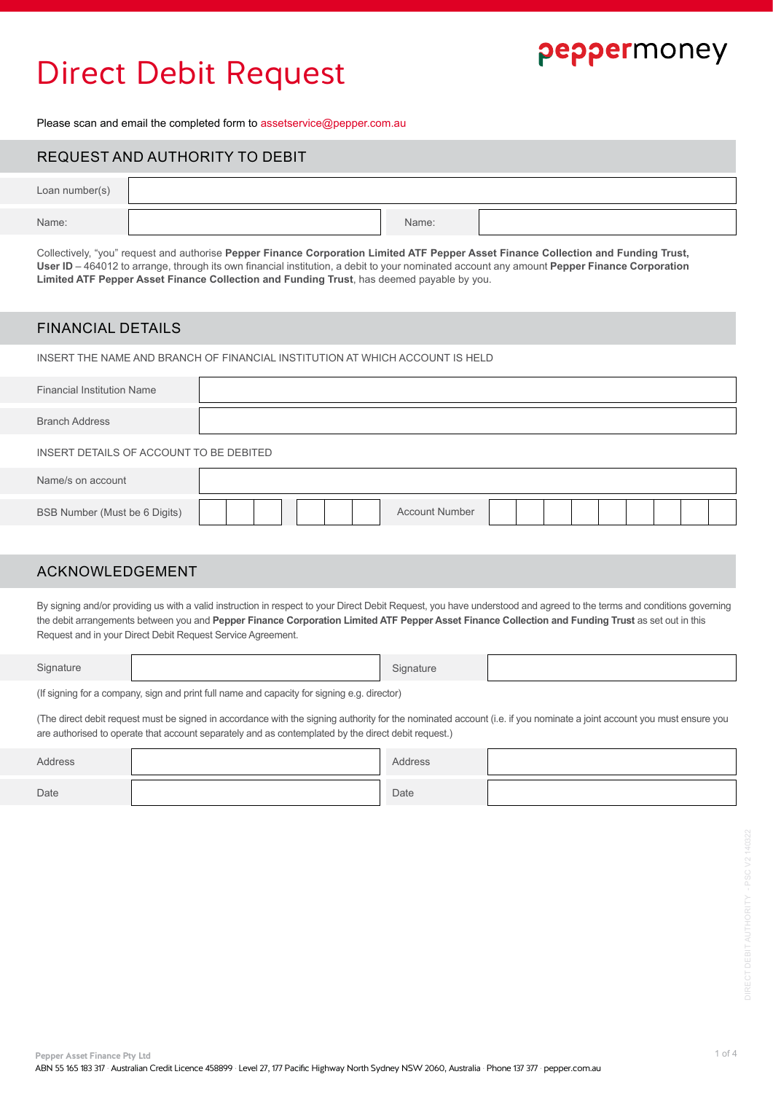# Direct Debit Request

Please scan and email the completed form to [assetservice@pepper.com.au](mailto: assetservice@pepper.com.au)

### REQUEST AND AUTHORITY TO DEBIT

| Loan number(s) |       |  |
|----------------|-------|--|
| Name:          | Name: |  |

Collectively, "you" request and authorise **Pepper Finance Corporation Limited ATF Pepper Asset Finance Collection and Funding Trust, User ID** – 464012 to arrange, through its own financial institution, a debit to your nominated account any amount **Pepper Finance Corporation Limited ATF Pepper Asset Finance Collection and Funding Trust**, has deemed payable by you.

### FINANCIAL DETAILS

INSERT THE NAME AND BRANCH OF FINANCIAL INSTITUTION AT WHICH ACCOUNT IS HELD

| <b>Financial Institution Name</b>       |                       |  |  |  |  |
|-----------------------------------------|-----------------------|--|--|--|--|
| <b>Branch Address</b>                   |                       |  |  |  |  |
| INSERT DETAILS OF ACCOUNT TO BE DEBITED |                       |  |  |  |  |
| Name/s on account                       |                       |  |  |  |  |
| BSB Number (Must be 6 Digits)           | <b>Account Number</b> |  |  |  |  |
|                                         |                       |  |  |  |  |

### ACKNOWLEDGEMENT

By signing and/or providing us with a valid instruction in respect to your Direct Debit Request, you have understood and agreed to the terms and conditions governing the debit arrangements between you and **Pepper Finance Corporation Limited ATF Pepper Asset Finance Collection and Funding Trust** as set out in this Request and in your Direct Debit Request Service Agreement.

| $\sim$ | - |  |
|--------|---|--|
|        |   |  |

(If signing for a company, sign and print full name and capacity for signing e.g. director)

(The direct debit request must be signed in accordance with the signing authority for the nominated account (i.e. if you nominate a joint account you must ensure you are authorised to operate that account separately and as contemplated by the direct debit request.)

| Address | Address |  |
|---------|---------|--|
| Date    | Date    |  |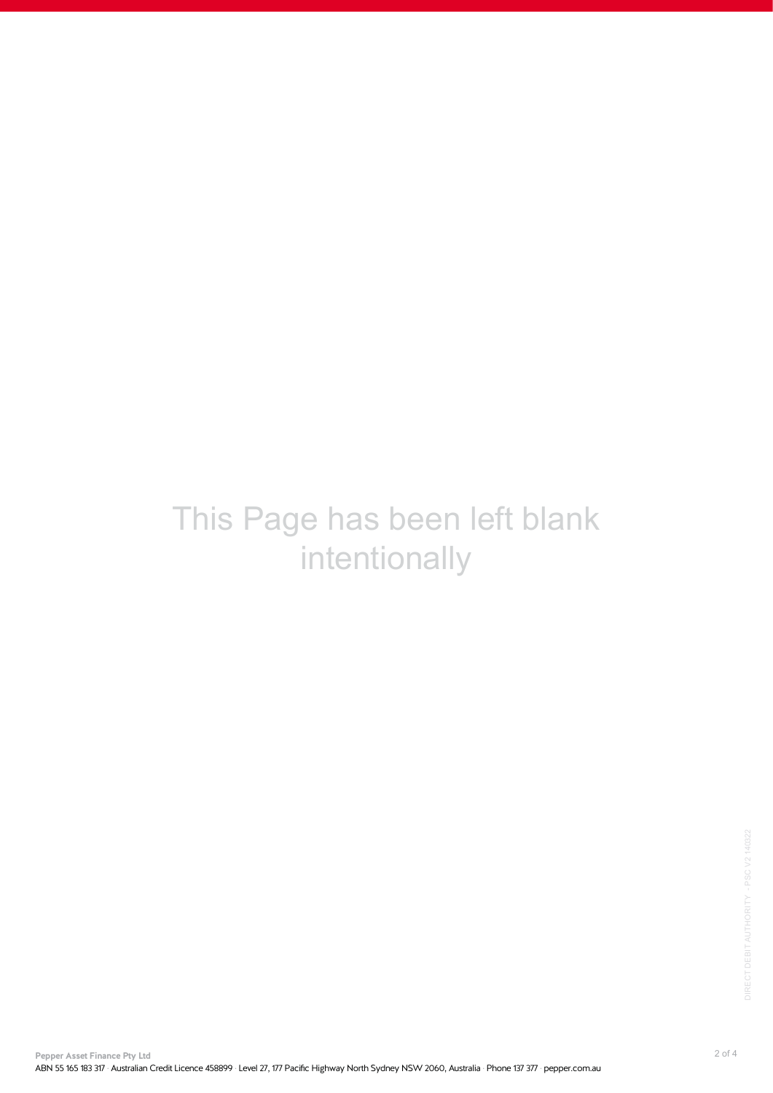# This Page has been left blank intentionally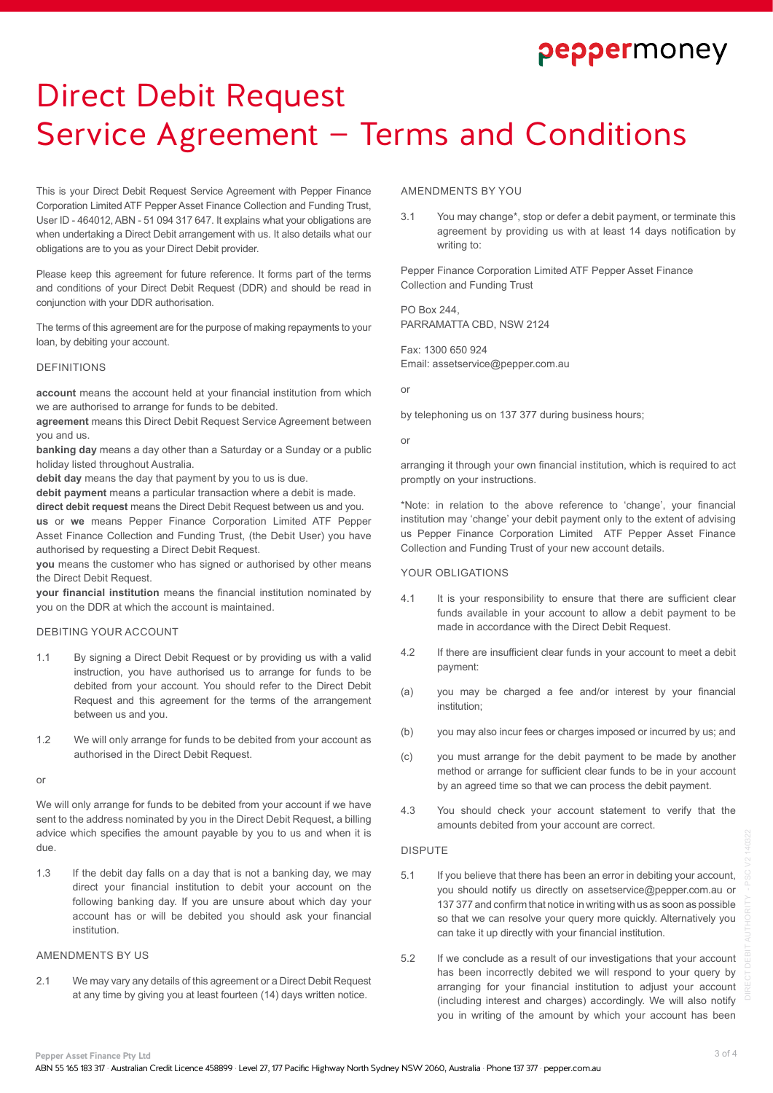## peppermoney

# Direct Debit Request Service Agreement — Terms and Conditions

This is your Direct Debit Request Service Agreement with Pepper Finance Corporation Limited ATF Pepper Asset Finance Collection and Funding Trust, User ID - 464012, ABN - 51 094 317 647. It explains what your obligations are when undertaking a Direct Debit arrangement with us. It also details what our obligations are to you as your Direct Debit provider.

Please keep this agreement for future reference. It forms part of the terms and conditions of your Direct Debit Request (DDR) and should be read in conjunction with your DDR authorisation.

The terms of this agreement are for the purpose of making repayments to your loan, by debiting your account.

#### DEFINITIONS

**account** means the account held at your financial institution from which we are authorised to arrange for funds to be debited.

**agreement** means this Direct Debit Request Service Agreement between you and us.

**banking day** means a day other than a Saturday or a Sunday or a public holiday listed throughout Australia.

**debit day** means the day that payment by you to us is due.

**debit payment** means a particular transaction where a debit is made.

**direct debit request** means the Direct Debit Request between us and you. **us** or **we** means Pepper Finance Corporation Limited ATF Pepper

Asset Finance Collection and Funding Trust, (the Debit User) you have authorised by requesting a Direct Debit Request.

**you** means the customer who has signed or authorised by other means the Direct Debit Request.

**your financial institution** means the financial institution nominated by you on the DDR at which the account is maintained.

#### DEBITING YOUR ACCOUNT

- 1.1 By signing a Direct Debit Request or by providing us with a valid instruction, you have authorised us to arrange for funds to be debited from your account. You should refer to the Direct Debit Request and this agreement for the terms of the arrangement between us and you.
- 1.2 We will only arrange for funds to be debited from your account as authorised in the Direct Debit Request.

or

We will only arrange for funds to be debited from your account if we have sent to the address nominated by you in the Direct Debit Request, a billing advice which specifies the amount payable by you to us and when it is due.

1.3 If the debit day falls on a day that is not a banking day, we may direct your financial institution to debit your account on the following banking day. If you are unsure about which day your account has or will be debited you should ask your financial institution.

#### AMENDMENTS BY US

2.1 We may vary any details of this agreement or a Direct Debit Request at any time by giving you at least fourteen (14) days written notice.

#### AMENDMENTS BY YOU

3.1 You may change\*, stop or defer a debit payment, or terminate this agreement by providing us with at least 14 days notification by writing to:

Pepper Finance Corporation Limited ATF Pepper Asset Finance Collection and Funding Trust

PO Box 244, PARRAMATTA CBD, NSW 2124

Fax: 1300 650 924 Email: assetservice@pepper.com.au

or

by telephoning us on 137 377 during business hours;

or

arranging it through your own financial institution, which is required to act promptly on your instructions.

\*Note: in relation to the above reference to 'change', your financial institution may 'change' your debit payment only to the extent of advising us Pepper Finance Corporation Limited ATF Pepper Asset Finance Collection and Funding Trust of your new account details.

#### YOUR OBLIGATIONS

- 4.1 It is your responsibility to ensure that there are sufficient clear funds available in your account to allow a debit payment to be made in accordance with the Direct Debit Request.
- 4.2 If there are insufficient clear funds in your account to meet a debit payment:
- (a) you may be charged a fee and/or interest by your financial institution;
- (b) you may also incur fees or charges imposed or incurred by us; and
- (c) you must arrange for the debit payment to be made by another method or arrange for sufficient clear funds to be in your account by an agreed time so that we can process the debit payment.
- 4.3 You should check your account statement to verify that the amounts debited from your account are correct.

#### DISPUTE

- 5.1 If you believe that there has been an error in debiting your account, you should notify us directly on assetservice@pepper.com.au or 137 377 and confirm that notice in writing with us as soon as possible so that we can resolve your query more quickly. Alternatively you can take it up directly with your financial institution.
- 5.2 If we conclude as a result of our investigations that your account has been incorrectly debited we will respond to your query by arranging for your financial institution to adjust your account (including interest and charges) accordingly. We will also notify you in writing of the amount by which your account has been